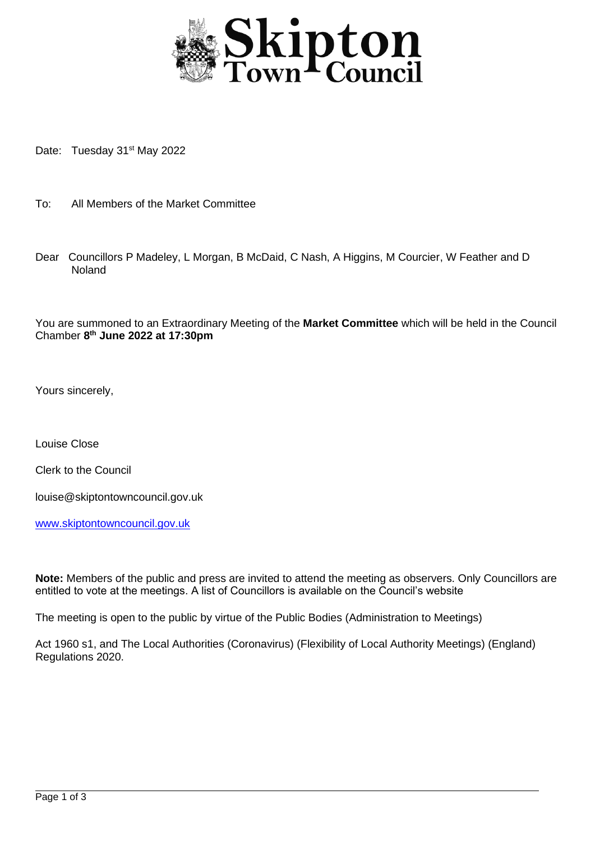

Date: Tuesday 31<sup>st</sup> May 2022

- To: All Members of the Market Committee
- Dear Councillors P Madeley, L Morgan, B McDaid, C Nash, A Higgins, M Courcier, W Feather and D Noland

You are summoned to an Extraordinary Meeting of the **Market Committee** which will be held in the Council Chamber **8 th June 2022 at 17:30pm**

Yours sincerely,

Louise Close

Clerk to the Council

louise@skiptontowncouncil.gov.uk

[www.skiptontowncouncil.gov.uk](http://www.skiptontowncouncil.gov.uk/)

**Note:** Members of the public and press are invited to attend the meeting as observers. Only Councillors are entitled to vote at the meetings. A list of Councillors is available on the Council's website

The meeting is open to the public by virtue of the Public Bodies (Administration to Meetings)

Act 1960 s1, and The Local Authorities (Coronavirus) (Flexibility of Local Authority Meetings) (England) Regulations 2020.

j.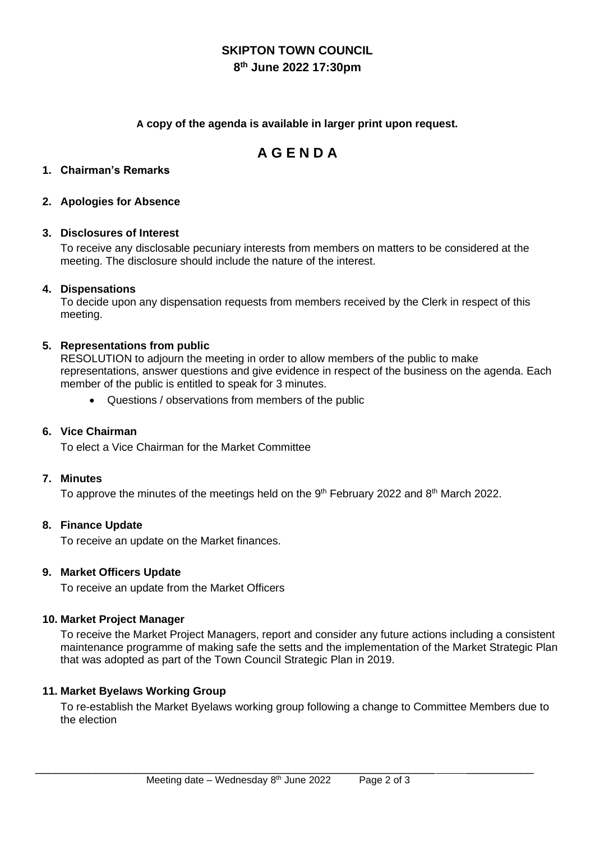# **SKIPTON TOWN COUNCIL**

## **8 th June 2022 17:30pm**

#### **A copy of the agenda is available in larger print upon request.**

## **A G E N D A**

### **1. Chairman's Remarks**

#### **2. Apologies for Absence**

#### **3. Disclosures of Interest**

To receive any disclosable pecuniary interests from members on matters to be considered at the meeting. The disclosure should include the nature of the interest.

#### **4. Dispensations**

To decide upon any dispensation requests from members received by the Clerk in respect of this meeting.

#### **5. Representations from public**

RESOLUTION to adjourn the meeting in order to allow members of the public to make representations, answer questions and give evidence in respect of the business on the agenda. Each member of the public is entitled to speak for 3 minutes.

• Questions / observations from members of the public

### **6. Vice Chairman**

To elect a Vice Chairman for the Market Committee

#### **7. Minutes**

To approve the minutes of the meetings held on the 9<sup>th</sup> February 2022 and 8<sup>th</sup> March 2022.

#### **8. Finance Update**

To receive an update on the Market finances.

#### **9. Market Officers Update**

To receive an update from the Market Officers

#### **10. Market Project Manager**

To receive the Market Project Managers, report and consider any future actions including a consistent maintenance programme of making safe the setts and the implementation of the Market Strategic Plan that was adopted as part of the Town Council Strategic Plan in 2019.

#### **11. Market Byelaws Working Group**

To re-establish the Market Byelaws working group following a change to Committee Members due to the election

\_\_\_\_\_\_\_\_\_\_\_\_\_\_\_\_\_\_\_\_\_\_\_\_\_\_\_\_\_\_\_\_\_\_\_\_\_\_\_\_\_\_\_\_\_\_\_\_\_\_\_\_\_\_\_\_\_\_\_\_ \_\_\_\_\_\_\_\_\_\_